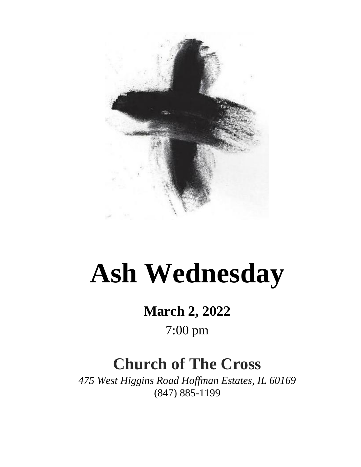

# **Ash Wednesday**

## **March 2, 2022**

### 7:00 pm

## **Church of The Cross**

*475 West Higgins Road Hoffman Estates, IL 60169* (847) 885-1199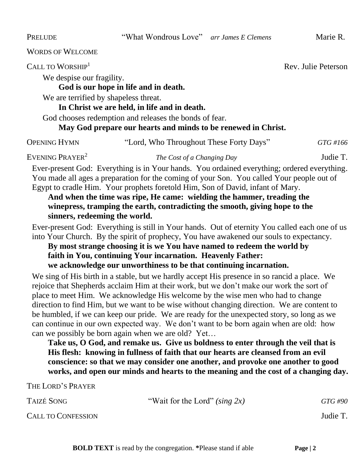PRELUDE "What Wondrous Love" *arr James E Clemens* Marie R.

WORDS OF WELCOME

 $C$ ALL TO WORSHIP<sup>1</sup>  $R$ <sup>e</sup>  $R$ <sup>e</sup>  $R$ <sup>e</sup>  $R$ <sup>e</sup>  $R$ <sup>e</sup>  $R$ <sup>e</sup>  $R$ <sup>e</sup>  $R$ <sup>e</sup>  $R$ <sup>e</sup>  $R$ <sup>e</sup>  $R$ <sup>e</sup>  $R$ <sup>e</sup>  $R$ <sup>e</sup>  $R$ <sup>e</sup>  $R$ <sup>e</sup>  $R$ <sup>e</sup>  $R$ <sup>e</sup>  $R$ <sup>e</sup>  $R$ <sup>e</sup>  $R$ <sup>e</sup>  $R$ <sup>e</sup>  $R$ <sup>e</sup>  $R$ <sup>e</sup>  $R$ <sup>e</sup>  $R$ <sup>e</sup>  $R$ <sup>e</sup>  $R$ <sup>e</sup>  $R$ <sup>e</sup>  $R$ <sup></sup>

We despise our fragility.

#### **God is our hope in life and in death.**

We are terrified by shapeless threat.

#### **In Christ we are held, in life and in death.**

God chooses redemption and releases the bonds of fear.

#### **May God prepare our hearts and minds to be renewed in Christ.**

OPENING HYMN "Lord, Who Throughout These Forty Days" *GTG #166*

EVENING PRAYER<sup>2</sup>

*The Cost of a Changing Day* Judie T.

Ever-present God: Everything is in Your hands. You ordained everything; ordered everything. You made all ages a preparation for the coming of your Son. You called Your people out of Egypt to cradle Him. Your prophets foretold Him, Son of David, infant of Mary.

**And when the time was ripe, He came: wielding the hammer, treading the winepress, tramping the earth, contradicting the smooth, giving hope to the sinners, redeeming the world.** 

Ever-present God: Everything is still in Your hands. Out of eternity You called each one of us into Your Church. By the spirit of prophecy, You have awakened our souls to expectancy.

**By most strange choosing it is we You have named to redeem the world by faith in You, continuing Your incarnation. Heavenly Father: we acknowledge our unworthiness to be that continuing incarnation.**

We sing of His birth in a stable, but we hardly accept His presence in so rancid a place. We rejoice that Shepherds acclaim Him at their work, but we don't make our work the sort of place to meet Him. We acknowledge His welcome by the wise men who had to change direction to find Him, but we want to be wise without changing direction. We are content to be humbled, if we can keep our pride. We are ready for the unexpected story, so long as we can continue in our own expected way. We don't want to be born again when are old: how can we possibly be born again when we are old? Yet…

**Take us, O God, and remake us. Give us boldness to enter through the veil that is His flesh: knowing in fullness of faith that our hearts are cleansed from an evil conscience: so that we may consider one another, and provoke one another to good works, and open our minds and hearts to the meaning and the cost of a changing day.** 

THE LORD'S PRAYER

| TAIZÉ SONG                | "Wait for the Lord" (sing $2x$ ) | GTG #90  |
|---------------------------|----------------------------------|----------|
| <b>CALL TO CONFESSION</b> |                                  | Judie T. |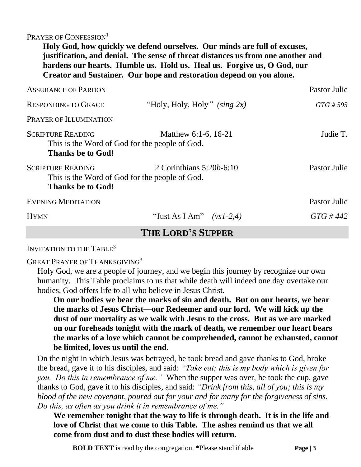PRAYER OF CONFESSION<sup>1</sup>

**Holy God, how quickly we defend ourselves. Our minds are full of excuses, justification, and denial. The sense of threat distances us from one another and hardens our hearts. Humble us. Hold us. Heal us. Forgive us, O God, our Creator and Sustainer. Our hope and restoration depend on you alone.**

| <b>ASSURANCE OF PARDON</b>                                                                             |                                 | Pastor Julie |  |  |  |
|--------------------------------------------------------------------------------------------------------|---------------------------------|--------------|--|--|--|
| <b>RESPONDING TO GRACE</b>                                                                             | "Holy, Holy, Holy" (sing $2x$ ) | GTG # 595    |  |  |  |
| PRAYER OF ILLUMINATION                                                                                 |                                 |              |  |  |  |
| <b>SCRIPTURE READING</b><br>This is the Word of God for the people of God.<br><b>Thanks be to God!</b> | Matthew 6:1-6, 16-21            | Judie T.     |  |  |  |
| <b>SCRIPTURE READING</b><br>This is the Word of God for the people of God.<br><b>Thanks be to God!</b> | 2 Corinthians $5:20b-6:10$      | Pastor Julie |  |  |  |
| <b>EVENING MEDITATION</b>                                                                              |                                 | Pastor Julie |  |  |  |
| <b>HYMN</b>                                                                                            | "Just As I Am" $(vs1-2,4)$      | $GTG \# 442$ |  |  |  |
| <b>THE LORD'S SUPPER</b>                                                                               |                                 |              |  |  |  |

INVITATION TO THE TABLE<sup>3</sup>

GREAT PRAYER OF THANKSGIVING<sup>3</sup>

Holy God, we are a people of journey, and we begin this journey by recognize our own humanity. This Table proclaims to us that while death will indeed one day overtake our bodies, God offers life to all who believe in Jesus Christ.

**On our bodies we bear the marks of sin and death. But on our hearts, we bear the marks of Jesus Christ—our Redeemer and our lord. We will kick up the dust of our mortality as we walk with Jesus to the cross. But as we are marked on our foreheads tonight with the mark of death, we remember our heart bears the marks of a love which cannot be comprehended, cannot be exhausted, cannot be limited, loves us until the end.** 

On the night in which Jesus was betrayed, he took bread and gave thanks to God, broke the bread, gave it to his disciples, and said: *"Take eat; this is my body which is given for you. Do this in remembrance of me."* When the supper was over, he took the cup, gave thanks to God, gave it to his disciples, and said: *"Drink from this, all of you; this is my blood of the new covenant, poured out for your and for many for the forgiveness of sins. Do this, as often as you drink it in remembrance of me."*

**We remember tonight that the way to life is through death. It is in the life and love of Christ that we come to this Table. The ashes remind us that we all come from dust and to dust these bodies will return.** 

 **BOLD TEXT** is read by the congregation. \*Please stand if able **Page | 3**